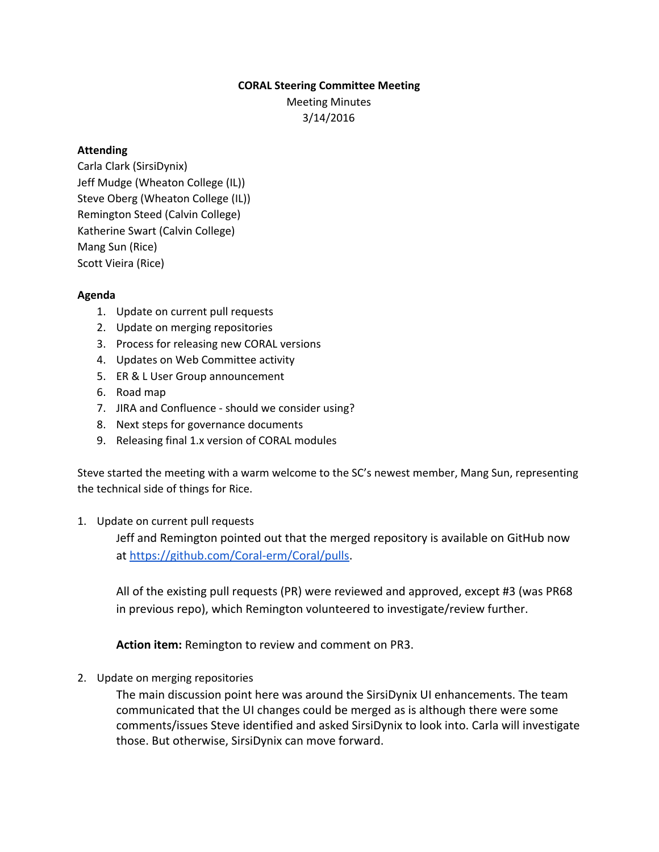## **CORAL Steering Committee Meeting**

Meeting Minutes 3/14/2016

## **Attending**

Carla Clark (SirsiDynix) Jeff Mudge (Wheaton College (IL)) Steve Oberg (Wheaton College (IL)) Remington Steed (Calvin College) Katherine Swart (Calvin College) Mang Sun (Rice) Scott Vieira (Rice)

## **Agenda**

- 1. Update on current pull requests
- 2. Update on merging repositories
- 3. Process for releasing new CORAL versions
- 4. Updates on Web Committee activity
- 5. ER & L User Group announcement
- 6. Road map
- 7. JIRA and Confluence should we consider using?
- 8. Next steps for governance documents
- 9. Releasing final 1.x version of CORAL modules

Steve started the meeting with a warm welcome to the SC's newest member, Mang Sun, representing the technical side of things for Rice.

1. Update on current pull requests

Jeff and Remington pointed out that the merged repository is available on GitHub now at https://github.com/Coral-erm/Coral/pulls.

All of the existing pull requests (PR) were reviewed and approved, except #3 (was PR68 in previous repo), which Remington volunteered to investigate/review further.

**Action item:**Remington to review and comment on PR3.

2. Update on merging repositories

The main discussion point here was around the SirsiDynix UI enhancements. The team communicated that the UI changes could be merged as is although there were some comments/issues Steve identified and asked SirsiDynix to look into. Carla will investigate those. But otherwise, SirsiDynix can move forward.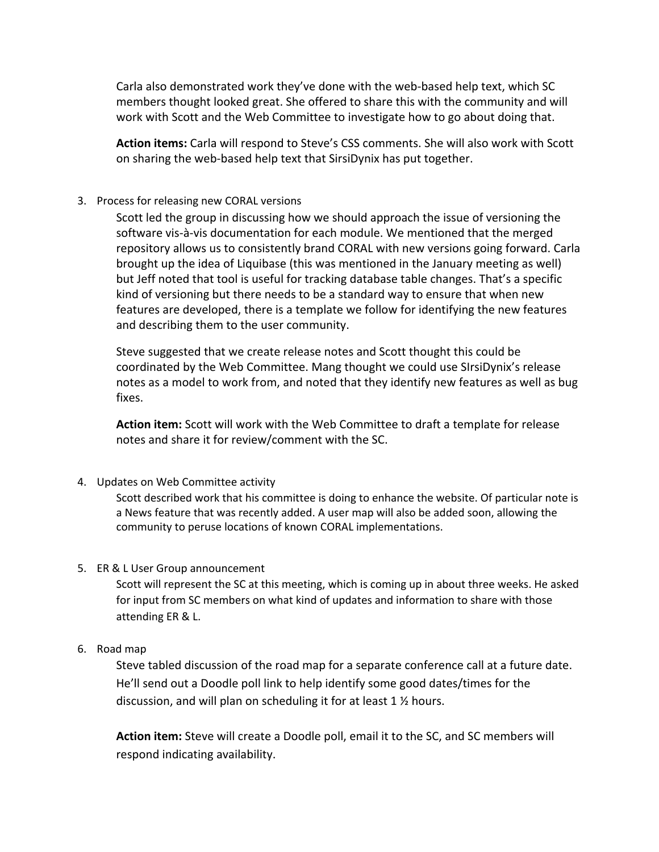Carla also demonstrated work they've done with the web-based help text, which SC members thought looked great. She offered to share this with the community and will work with Scott and the Web Committee to investigate how to go about doing that.

**Action items:**Carla will respond to Steve's CSS comments. She will also work with Scott on sharing the web-based help text that SirsiDynix has put together.

## 3. Process for releasing new CORAL versions

Scott led the group in discussing how we should approach the issue of versioning the software vis-à-vis documentation for each module. We mentioned that the merged repository allows us to consistently brand CORAL with new versions going forward. Carla brought up the idea of Liquibase (this was mentioned in the January meeting as well) but Jeff noted that tool is useful for tracking database table changes. That's a specific kind of versioning but there needs to be a standard way to ensure that when new features are developed, there is a template we follow for identifying the new features and describing them to the user community.

Steve suggested that we create release notes and Scott thought this could be coordinated by the Web Committee. Mang thought we could use SIrsiDynix's release notes as a model to work from, and noted that they identify new features as well as bug fixes.

**Action item:**Scott will work with the Web Committee to draft a template for release notes and share it for review/comment with the SC.

4. Updates on Web Committee activity

Scott described work that his committee is doing to enhance the website. Of particular note is a News feature that was recently added. A user map will also be added soon, allowing the community to peruse locations of known CORAL implementations.

5. ER & L User Group announcement

Scott will represent the SC at this meeting, which is coming up in about three weeks. He asked for input from SC members on what kind of updates and information to share with those attending ER & L.

6. Road map

Steve tabled discussion of the road map for a separate conference call at a future date. He'll send out a Doodle poll link to help identify some good dates/times for the discussion, and will plan on scheduling it for at least 1 ½ hours.

**Action item:**Steve will create a Doodle poll, email it to the SC, and SC members will respond indicating availability.